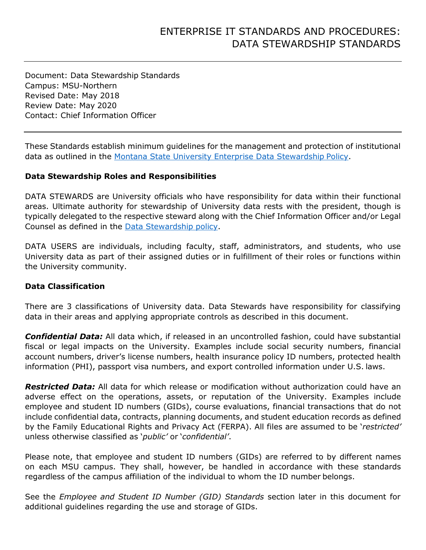Document: Data Stewardship Standards Campus: MSU-Northern Revised Date: May 2018 Review Date: May 2020 Contact: Chief Information Officer

These Standards establish minimum guidelines for the management and protection of institutional data as outlined in the [Montana State University Enterprise Data Stewardship](http://www.montana.edu/policy/enterprise_it/data_stewardship.html) Policy.

#### **Data Stewardship Roles and Responsibilities**

DATA STEWARDS are University officials who have responsibility for data within their functional areas. Ultimate authority for stewardship of University data rests with the president, though is typically delegated to the respective steward along with the Chief Information Officer and/or Legal Counsel as defined in the [Data Stewardship](http://www.montana.edu/policy/enterprise_it/data_stewardship.html) policy.

DATA USERS are individuals, including faculty, staff, administrators, and students, who use University data as part of their assigned duties or in fulfillment of their roles or functions within the University community.

### **Data Classification**

There are 3 classifications of University data. Data Stewards have responsibility for classifying data in their areas and applying appropriate controls as described in this document.

*Confidential Data:* All data which, if released in an uncontrolled fashion, could have substantial fiscal or legal impacts on the University. Examples include social security numbers, financial account numbers, driver's license numbers, health insurance policy ID numbers, protected health information (PHI), passport visa numbers, and export controlled information under U.S. laws.

*Restricted Data:* All data for which release or modification without authorization could have an adverse effect on the operations, assets, or reputation of the University. Examples include employee and student ID numbers (GIDs), course evaluations, financial transactions that do not include confidential data, contracts, planning documents, and student education records as defined by the Family Educational Rights and Privacy Act (FERPA). All files are assumed to be '*restricted'*  unless otherwise classified as '*public'* or '*confidential'*.

Please note, that employee and student ID numbers (GIDs) are referred to by different names on each MSU campus. They shall, however, be handled in accordance with these standards regardless of the campus affiliation of the individual to whom the ID number belongs.

See the *Employee and Student ID Number (GID) Standards* section later in this document for additional guidelines regarding the use and storage of GIDs.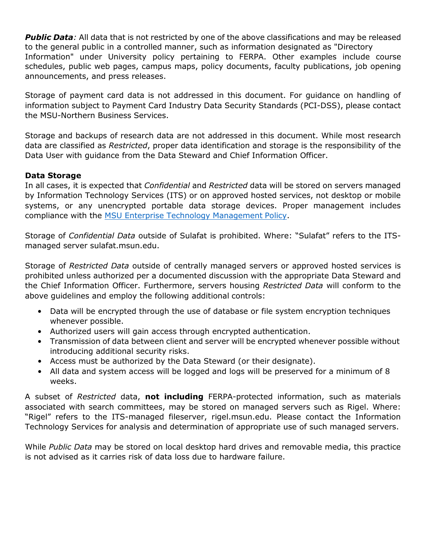*Public Data:* All data that is not restricted by one of the above classifications and may be released to the general public in a controlled manner, such as information designated as "Directory Information" under University policy pertaining to FERPA. Other examples include course schedules, public web pages, campus maps, policy documents, faculty publications, job opening announcements, and press releases.

Storage of payment card data is not addressed in this document. For guidance on handling of information subject to Payment Card Industry Data Security Standards (PCI-DSS), please contact the MSU-Northern Business Services.

Storage and backups of research data are not addressed in this document. While most research data are classified as *Restricted*, proper data identification and storage is the responsibility of the Data User with guidance from the Data Steward and Chief Information Officer.

# **Data Storage**

In all cases, it is expected that *Confidential* and *Restricted* data will be stored on servers managed by Information Technology Services (ITS) or on approved hosted services, not desktop or mobile systems, or any unencrypted portable data storage devices. Proper management includes compliance with the [MSU Enterprise Technology Management](http://www.montana.edu/policy/enterprise_it/technology_management.html) Policy.

Storage of *Confidential Data* outside of Sulafat is prohibited. Where: "Sulafat" refers to the ITSmanaged server sulafat.msun.edu.

Storage of *Restricted Data* outside of centrally managed servers or approved hosted services is prohibited unless authorized per a documented discussion with the appropriate Data Steward and the Chief Information Officer. Furthermore, servers housing *Restricted Data* will conform to the above guidelines and employ the following additional controls:

- Data will be encrypted through the use of database or file system encryption techniques whenever possible.
- Authorized users will gain access through encrypted authentication.
- Transmission of data between client and server will be encrypted whenever possible without introducing additional security risks.
- Access must be authorized by the Data Steward (or their designate).
- All data and system access will be logged and logs will be preserved for a minimum of 8 weeks.

A subset of *Restricted* data, **not including** FERPA-protected information, such as materials associated with search committees, may be stored on managed servers such as Rigel. Where: "Rigel" refers to the ITS-managed fileserver, rigel.msun.edu. Please contact the Information Technology Services for analysis and determination of appropriate use of such managed servers.

While *Public Data* may be stored on local desktop hard drives and removable media, this practice is not advised as it carries risk of data loss due to hardware failure.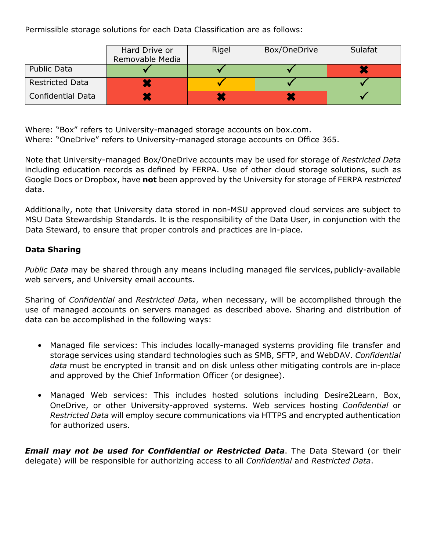Permissible storage solutions for each Data Classification are as follows:

|                          | Hard Drive or<br>Removable Media | Rigel | Box/OneDrive | Sulafat |
|--------------------------|----------------------------------|-------|--------------|---------|
| <b>Public Data</b>       |                                  |       |              |         |
| <b>Restricted Data</b>   |                                  |       |              |         |
| <b>Confidential Data</b> |                                  |       |              |         |

Where: "Box" refers to University-managed storage accounts on box.com. Where: "OneDrive" refers to University-managed storage accounts on Office 365.

Note that University-managed Box/OneDrive accounts may be used for storage of *Restricted Data*  including education records as defined by FERPA. Use of other cloud storage solutions, such as Google Docs or Dropbox, have **not** been approved by the University for storage of FERPA *restricted*  data.

Additionally, note that University data stored in non-MSU approved cloud services are subject to MSU Data Stewardship Standards. It is the responsibility of the Data User, in conjunction with the Data Steward, to ensure that proper controls and practices are in-place.

### **Data Sharing**

*Public Data* may be shared through any means including managed file services,publicly-available web servers, and University email accounts.

Sharing of *Confidential* and *Restricted Data*, when necessary, will be accomplished through the use of managed accounts on servers managed as described above. Sharing and distribution of data can be accomplished in the following ways:

- Managed file services: This includes locally-managed systems providing file transfer and storage services using standard technologies such as SMB, SFTP, and WebDAV. *Confidential data* must be encrypted in transit and on disk unless other mitigating controls are in-place and approved by the Chief Information Officer (or designee).
- Managed Web services: This includes hosted solutions including Desire2Learn, Box, OneDrive, or other University-approved systems. Web services hosting *Confidential* or *Restricted Data* will employ secure communications via HTTPS and encrypted authentication for authorized users.

*Email may not be used for Confidential or Restricted Data*. The Data Steward (or their delegate) will be responsible for authorizing access to all *Confidential* and *Restricted Data*.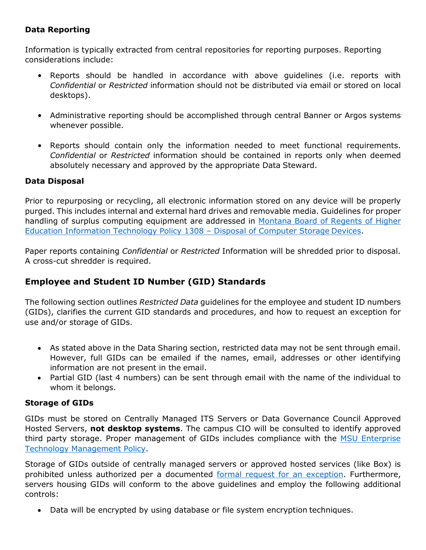# **Data Reporting**

Information is typically extracted from central repositories for reporting purposes. Reporting considerations include:

- Reports should be handled in accordance with above guidelines (i.e. reports with *Confidential* or *Restricted* information should not be distributed via email or stored on local desktops).
- Administrative reporting should be accomplished through central Banner or Argos systems whenever possible.
- Reports should contain only the information needed to meet functional requirements. *Confidential* or *Restricted* information should be contained in reports only when deemed absolutely necessary and approved by the appropriate Data Steward.

# **Data Disposal**

Prior to repurposing or recycling, all electronic information stored on any device will be properly purged. This includes internal and external hard drives and removable media. Guidelines for proper handling of surplus computing equipment are addressed in [Montana Board of Regents of Higher](http://mus.edu/borpol/bor1300/1308.pdf) [Education Information Technology Policy 1308 –](http://mus.edu/borpol/bor1300/1308.pdf) Disposal of Computer Storage Devices.

Paper reports containing *Confidential* or *Restricted* Information will be shredded prior to disposal. A cross-cut shredder is required.

# **Employee and Student ID Number (GID) Standards**

The following section outlines *Restricted Data* guidelines for the employee and student ID numbers (GIDs), clarifies the current GID standards and procedures, and how to request an exception for use and/or storage of GIDs.

- As stated above in the Data Sharing section, restricted data may not be sent through email. However, full GIDs can be emailed if the names, email, addresses or other identifying information are not present in the email.
- Partial GID (last 4 numbers) can be sent through email with the name of the individual to whom it belongs.

# **Storage of GIDs**

GIDs must be stored on Centrally Managed ITS Servers or Data Governance Council Approved Hosted Servers, **not desktop systems**. The campus CIO will be consulted to identify approved third party storage. Proper management of GIDs includes compliance with the [MSU Enterprise](https://www.montana.edu/policy/enterprise_it/technology_management.html) [Technology Management Policy.](https://www.montana.edu/policy/enterprise_it/technology_management.html)

Storage of GIDs outside of centrally managed servers or approved hosted services (like Box) is prohibited unless authorized per a documented [formal request for an exception.](https://www.msun.edu/admin/policies/1300/DataStewardship-GID_Exception_Request_Form.pdf) Furthermore, servers housing GIDs will conform to the above guidelines and employ the following additional controls:

• Data will be encrypted by using database or file system encryption techniques.